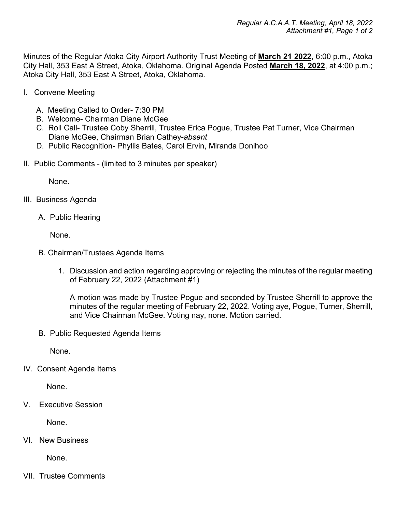Minutes of the Regular Atoka City Airport Authority Trust Meeting of **March 21 2022**, 6:00 p.m., Atoka City Hall, 353 East A Street, Atoka, Oklahoma. Original Agenda Posted **March 18, 2022**, at 4:00 p.m.; Atoka City Hall, 353 East A Street, Atoka, Oklahoma.

- I. Convene Meeting
	- A. Meeting Called to Order- 7:30 PM
	- B. Welcome- Chairman Diane McGee
	- C. Roll Call- Trustee Coby Sherrill, Trustee Erica Pogue, Trustee Pat Turner, Vice Chairman Diane McGee, Chairman Brian Cathey-*absent*
	- D. Public Recognition- Phyllis Bates, Carol Ervin, Miranda Donihoo
- II. Public Comments (limited to 3 minutes per speaker)

None.

- III. Business Agenda
	- A. Public Hearing

None.

- B. Chairman/Trustees Agenda Items
	- 1. Discussion and action regarding approving or rejecting the minutes of the regular meeting of February 22, 2022 (Attachment #1)

A motion was made by Trustee Pogue and seconded by Trustee Sherrill to approve the minutes of the regular meeting of February 22, 2022. Voting aye, Pogue, Turner, Sherrill, and Vice Chairman McGee. Voting nay, none. Motion carried.

B. Public Requested Agenda Items

None.

IV. Consent Agenda Items

None.

V. Executive Session

None.

VI. New Business

None.

VII. Trustee Comments